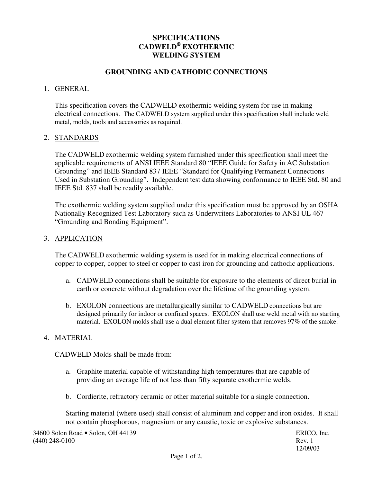# **SPECIFICATIONS CADWELD EXOTHERMIC WELDING SYSTEM**

### **GROUNDING AND CATHODIC CONNECTIONS**

#### 1. GENERAL

This specification covers the CADWELD exothermic welding system for use in making electrical connections. The CADWELD system supplied under this specification shall include weld metal, molds, tools and accessories as required.

#### 2. STANDARDS

The CADWELD exothermic welding system furnished under this specification shall meet the applicable requirements of ANSI IEEE Standard 80 "IEEE Guide for Safety in AC Substation Grounding" and IEEE Standard 837 IEEE "Standard for Qualifying Permanent Connections Used in Substation Grounding". Independent test data showing conformance to IEEE Std. 80 and IEEE Std. 837 shall be readily available.

The exothermic welding system supplied under this specification must be approved by an OSHA Nationally Recognized Test Laboratory such as Underwriters Laboratories to ANSI UL 467 "Grounding and Bonding Equipment".

#### 3. APPLICATION

The CADWELD exothermic welding system is used for in making electrical connections of copper to copper, copper to steel or copper to cast iron for grounding and cathodic applications.

- a. CADWELD connections shall be suitable for exposure to the elements of direct burial in earth or concrete without degradation over the lifetime of the grounding system.
- b. EXOLON connections are metallurgically similar to CADWELD connections but are designed primarily for indoor or confined spaces. EXOLON shall use weld metal with no starting material. EXOLON molds shall use a dual element filter system that removes 97% of the smoke.

### 4. MATERIAL

CADWELD Molds shall be made from:

- a. Graphite material capable of withstanding high temperatures that are capable of providing an average life of not less than fifty separate exothermic welds.
- b. Cordierite, refractory ceramic or other material suitable for a single connection.

Starting material (where used) shall consist of aluminum and copper and iron oxides. It shall not contain phosphorous, magnesium or any caustic, toxic or explosive substances.

34600 Solon Road • Solon, OH 44139 ERICO, Inc. (440) 248-0100 Rev. 1

12/09/03